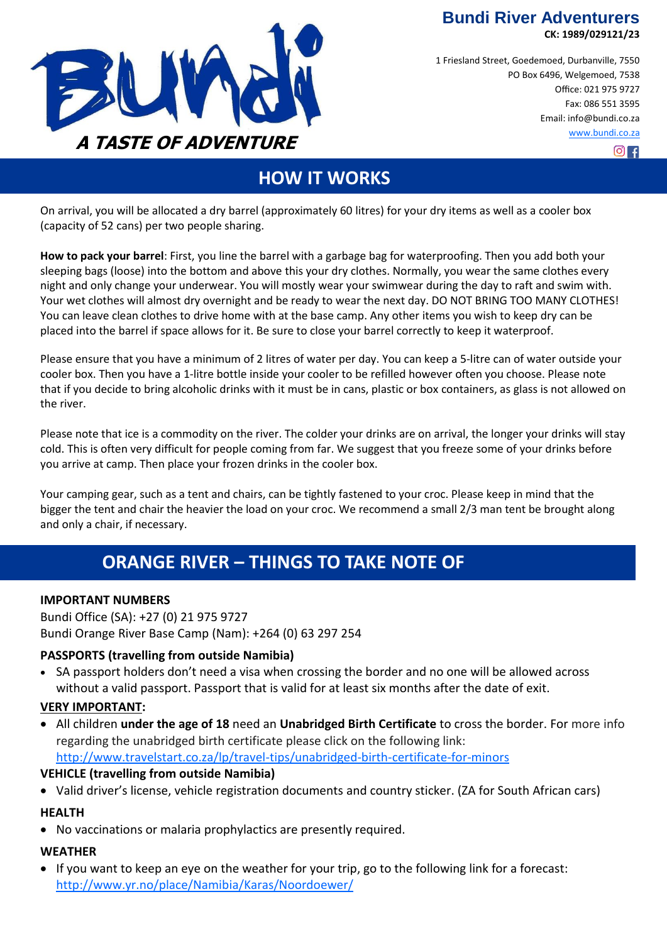**Bundi River Adventurers** 



 $O<sub>H</sub>$ 

1 Friesland Street, Goedemoed, Durbanville, 7550 PO Box 6496, Welgemoed, 7538 Office: 021 975 9727 Fax: 086 551 3595 Email: info@bundi.co.za [www.bundi.co.za](http://www.bundi.co.za/)



# **HOW IT WORKS**

On arrival, you will be allocated a dry barrel (approximately 60 litres) for your dry items as well as a cooler box (capacity of 52 cans) per two people sharing.

**How to pack your barrel**: First, you line the barrel with a garbage bag for waterproofing. Then you add both your sleeping bags (loose) into the bottom and above this your dry clothes. Normally, you wear the same clothes every night and only change your underwear. You will mostly wear your swimwear during the day to raft and swim with. Your wet clothes will almost dry overnight and be ready to wear the next day. DO NOT BRING TOO MANY CLOTHES! You can leave clean clothes to drive home with at the base camp. Any other items you wish to keep dry can be placed into the barrel if space allows for it. Be sure to close your barrel correctly to keep it waterproof.

Please ensure that you have a minimum of 2 litres of water per day. You can keep a 5-litre can of water outside your cooler box. Then you have a 1-litre bottle inside your cooler to be refilled however often you choose. Please note that if you decide to bring alcoholic drinks with it must be in cans, plastic or box containers, as glass is not allowed on the river.

Please note that ice is a commodity on the river. The colder your drinks are on arrival, the longer your drinks will stay cold. This is often very difficult for people coming from far. We suggest that you freeze some of your drinks before you arrive at camp. Then place your frozen drinks in the cooler box.

Your camping gear, such as a tent and chairs, can be tightly fastened to your croc. Please keep in mind that the bigger the tent and chair the heavier the load on your croc. We recommend a small 2/3 man tent be brought along and only a chair, if necessary.

# **ORANGE RIVER – THINGS TO TAKE NOTE OF**

#### **IMPORTANT NUMBERS**

Bundi Office (SA): +27 (0) 21 975 9727 Bundi Orange River Base Camp (Nam): +264 (0) 63 297 254

#### **PASSPORTS (travelling from outside Namibia)**

• SA passport holders don't need a visa when crossing the border and no one will be allowed across without a valid passport. Passport that is valid for at least six months after the date of exit.

#### **VERY IMPORTANT:**

 All children **under the age of 18** need an **Unabridged Birth Certificate** to cross the border. For more info regarding the unabridged birth certificate please click on the following link: [http://www.travelstart.co.za/lp/travel](http://www.travelstart.co.za/lp/travel-tips/unabridged-birth-certificate-for-minors)-tips/unabridged-birth-certificate-for-minors

#### **VEHICLE (travelling from outside Namibia)**

Valid driver's license, vehicle registration documents and country sticker. (ZA for South African cars)

#### **HEALTH**

No vaccinations or malaria prophylactics are presently required.

#### **WEATHER**

 If you want to keep an eye on the weather for your trip, go to the following link for a forecast: <http://www.yr.no/place/Namibia/Karas/Noordoewer/>